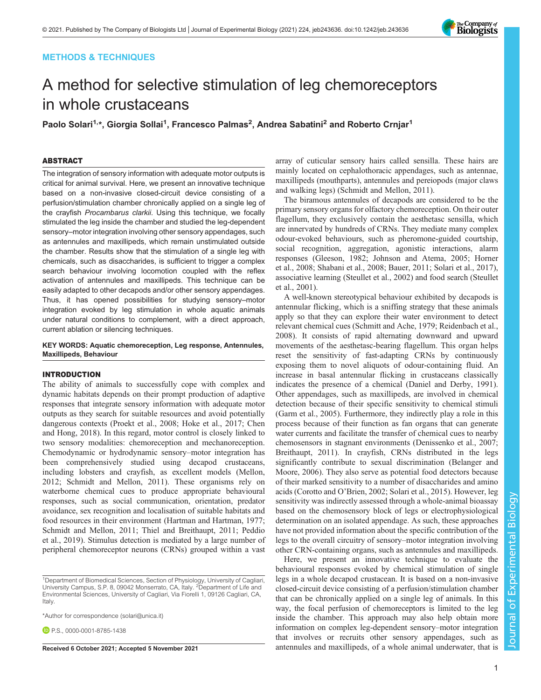# METHODS & TECHNIQUES

# A method for selective stimulation of leg chemoreceptors in whole crustaceans

Paolo Solari<sup>1,</sup>\*, Giorgia Sollai<sup>1</sup>, Francesco Palmas<sup>2</sup>, Andrea Sabatini<sup>2</sup> and Roberto Crnjar<sup>1</sup>

# ABSTRACT

The integration of sensory information with adequate motor outputs is critical for animal survival. Here, we present an innovative technique based on a non-invasive closed-circuit device consisting of a perfusion/stimulation chamber chronically applied on a single leg of the crayfish Procambarus clarkii. Using this technique, we focally stimulated the leg inside the chamber and studied the leg-dependent sensory–motor integration involving other sensory appendages, such as antennules and maxillipeds, which remain unstimulated outside the chamber. Results show that the stimulation of a single leg with chemicals, such as disaccharides, is sufficient to trigger a complex search behaviour involving locomotion coupled with the reflex activation of antennules and maxillipeds. This technique can be easily adapted to other decapods and/or other sensory appendages. Thus, it has opened possibilities for studying sensory–motor integration evoked by leg stimulation in whole aquatic animals under natural conditions to complement, with a direct approach, current ablation or silencing techniques.

## KEY WORDS: Aquatic chemoreception, Leg response, Antennules, Maxillipeds, Behaviour

### INTRODUCTION

The ability of animals to successfully cope with complex and dynamic habitats depends on their prompt production of adaptive responses that integrate sensory information with adequate motor outputs as they search for suitable resources and avoid potentially dangerous contexts ([Proekt et al., 2008;](#page-5-0) [Hoke et al., 2017; Chen](#page-4-0) [and Hong, 2018\)](#page-4-0). In this regard, motor control is closely linked to two sensory modalities: chemoreception and mechanoreception. Chemodynamic or hydrodynamic sensory–motor integration has been comprehensively studied using decapod crustaceans, including lobsters and crayfish, as excellent models [\(Mellon,](#page-5-0) [2012](#page-5-0); [Schmidt and Mellon, 2011](#page-5-0)). These organisms rely on waterborne chemical cues to produce appropriate behavioural responses, such as social communication, orientation, predator avoidance, sex recognition and localisation of suitable habitats and food resources in their environment ([Hartman and Hartman, 1977](#page-4-0); [Schmidt and Mellon, 2011; Thiel and Breithaupt, 2011](#page-5-0); [Peddio](#page-5-0) [et al., 2019](#page-5-0)). Stimulus detection is mediated by a large number of peripheral chemoreceptor neurons (CRNs) grouped within a vast

\*Author for correspondence [\(solari@unica.it\)](mailto:solari@unica.it)

**P.S.**, [0000-0001-8785-1438](http://orcid.org/0000-0001-8785-1438)

array of cuticular sensory hairs called sensilla. These hairs are mainly located on cephalothoracic appendages, such as antennae, maxillipeds (mouthparts), antennules and pereiopods (major claws and walking legs) [\(Schmidt and Mellon, 2011\)](#page-5-0).

The biramous antennules of decapods are considered to be the primary sensory organs for olfactory chemoreception. On their outer flagellum, they exclusively contain the aesthetasc sensilla, which are innervated by hundreds of CRNs. They mediate many complex odour-evoked behaviours, such as pheromone-guided courtship, social recognition, aggregation, agonistic interactions, alarm responses ([Gleeson, 1982](#page-4-0); [Johnson and Atema, 2005](#page-5-0); [Horner](#page-4-0) [et al., 2008](#page-4-0); [Shabani et al., 2008;](#page-5-0) [Bauer, 2011](#page-4-0); [Solari et al., 2017\)](#page-5-0), associative learning ([Steullet et al., 2002\)](#page-5-0) and food search [\(Steullet](#page-5-0) [et al., 2001\)](#page-5-0).

A well-known stereotypical behaviour exhibited by decapods is antennular flicking, which is a sniffing strategy that these animals apply so that they can explore their water environment to detect relevant chemical cues [\(Schmitt and Ache, 1979; Reidenbach et al.,](#page-5-0) [2008\)](#page-5-0). It consists of rapid alternating downward and upward movements of the aesthetasc-bearing flagellum. This organ helps reset the sensitivity of fast-adapting CRNs by continuously exposing them to novel aliquots of odour-containing fluid. An increase in basal antennular flicking in crustaceans classically indicates the presence of a chemical ([Daniel and Derby, 1991\)](#page-4-0). Other appendages, such as maxillipeds, are involved in chemical detection because of their specific sensitivity to chemical stimuli [\(Garm et al., 2005\)](#page-4-0). Furthermore, they indirectly play a role in this process because of their function as fan organs that can generate water currents and facilitate the transfer of chemical cues to nearby chemosensors in stagnant environments ([Denissenko et al., 2007](#page-4-0); [Breithaupt, 2011\)](#page-4-0). In crayfish, CRNs distributed in the legs significantly contribute to sexual discrimination [\(Belanger and](#page-4-0) [Moore, 2006](#page-4-0)). They also serve as potential food detectors because of their marked sensitivity to a number of disaccharides and amino acids [\(Corotto and O](#page-4-0)'Brien, 2002; [Solari et al., 2015\)](#page-5-0). However, leg sensitivity was indirectly assessed through a whole-animal bioassay based on the chemosensory block of legs or electrophysiological determination on an isolated appendage. As such, these approaches have not provided information about the specific contribution of the legs to the overall circuitry of sensory–motor integration involving other CRN-containing organs, such as antennules and maxillipeds.

Here, we present an innovative technique to evaluate the behavioural responses evoked by chemical stimulation of single legs in a whole decapod crustacean. It is based on a non-invasive closed-circuit device consisting of a perfusion/stimulation chamber that can be chronically applied on a single leg of animals. In this way, the focal perfusion of chemoreceptors is limited to the leg inside the chamber. This approach may also help obtain more information on complex leg-dependent sensory–motor integration that involves or recruits other sensory appendages, such as Received 6 October 2021; Accepted 5 November 2021 antennules and maxillipeds, of a whole animal underwater, that is



<sup>&</sup>lt;sup>1</sup>Department of Biomedical Sciences, Section of Physiology, University of Cagliari,<br>University Campus, S.P. 8, 09042 Monserrato, CA, Italy. <sup>2</sup>Department of Life and Environmental Sciences, University of Cagliari, Via Fiorelli 1, 09126 Cagliari, CA, Italy.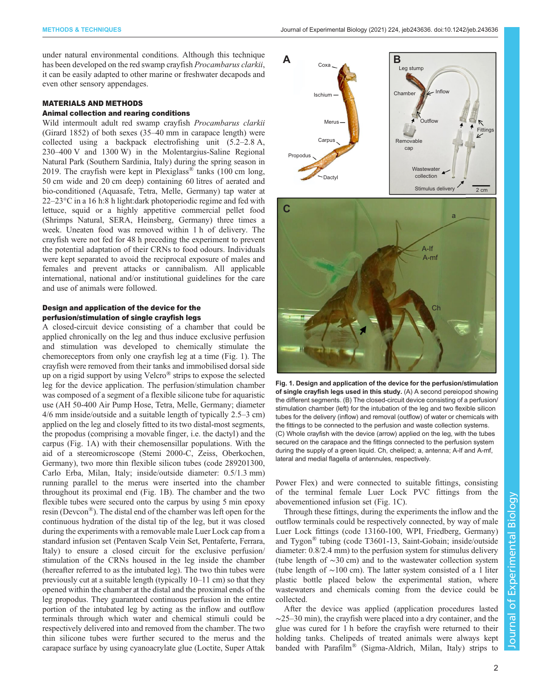<span id="page-1-0"></span>under natural environmental conditions. Although this technique has been developed on the red swamp crayfish Procambarus clarkii, it can be easily adapted to other marine or freshwater decapods and even other sensory appendages.

## MATERIALS AND METHODS

### Animal collection and rearing conditions

Wild intermoult adult red swamp crayfish Procambarus clarkii (Girard 1852) of both sexes (35–40 mm in carapace length) were collected using a backpack electrofishing unit (5.2–2.8 A, 230–400 V and 1300 W) in the Molentargius-Saline Regional Natural Park (Southern Sardinia, Italy) during the spring season in 2019. The crayfish were kept in Plexiglass<sup>®</sup> tanks (100 cm long, 50 cm wide and 20 cm deep) containing 60 litres of aerated and bio-conditioned (Aquasafe, Tetra, Melle, Germany) tap water at  $22-23$ °C in a 16 h:8 h light:dark photoperiodic regime and fed with lettuce, squid or a highly appetitive commercial pellet food (Shrimps Natural, SERA, Heinsberg, Germany) three times a week. Uneaten food was removed within 1 h of delivery. The crayfish were not fed for 48 h preceding the experiment to prevent the potential adaptation of their CRNs to food odours. Individuals were kept separated to avoid the reciprocal exposure of males and females and prevent attacks or cannibalism. All applicable international, national and/or institutional guidelines for the care and use of animals were followed.

# Design and application of the device for the perfusion/stimulation of single crayfish legs

A closed-circuit device consisting of a chamber that could be applied chronically on the leg and thus induce exclusive perfusion and stimulation was developed to chemically stimulate the chemoreceptors from only one crayfish leg at a time (Fig. 1). The crayfish were removed from their tanks and immobilised dorsal side up on a rigid support by using Velcro® strips to expose the selected leg for the device application. The perfusion/stimulation chamber was composed of a segment of a flexible silicone tube for aquaristic use (AH 50-400 Air Pump Hose, Tetra, Melle, Germany; diameter 4/6 mm inside/outside and a suitable length of typically 2.5–3 cm) applied on the leg and closely fitted to its two distal-most segments, the propodus (comprising a movable finger, i.e. the dactyl) and the carpus (Fig. 1A) with their chemosensillar populations. With the aid of a stereomicroscope (Stemi 2000-C, Zeiss, Oberkochen, Germany), two more thin flexible silicon tubes (code 289201300, Carlo Erba, Milan, Italy; inside/outside diameter: 0.5/1.3 mm) running parallel to the merus were inserted into the chamber throughout its proximal end (Fig. 1B). The chamber and the two flexible tubes were secured onto the carpus by using 5 min epoxy resin (Devcon®). The distal end of the chamber was left open for the continuous hydration of the distal tip of the leg, but it was closed during the experiments with a removable male Luer Lock cap from a standard infusion set (Pentaven Scalp Vein Set, Pentaferte, Ferrara, Italy) to ensure a closed circuit for the exclusive perfusion/ stimulation of the CRNs housed in the leg inside the chamber (hereafter referred to as the intubated leg). The two thin tubes were previously cut at a suitable length (typically 10–11 cm) so that they opened within the chamber at the distal and the proximal ends of the leg propodus. They guaranteed continuous perfusion in the entire portion of the intubated leg by acting as the inflow and outflow terminals through which water and chemical stimuli could be respectively delivered into and removed from the chamber. The two thin silicone tubes were further secured to the merus and the carapace surface by using cyanoacrylate glue (Loctite, Super Attak





Fig. 1. Design and application of the device for the perfusion/stimulation of single crayfish legs used in this study. (A) A second pereiopod showing the different segments. (B) The closed-circuit device consisting of a perfusion/ stimulation chamber (left) for the intubation of the leg and two flexible silicon tubes for the delivery (inflow) and removal (outflow) of water or chemicals with the fittings to be connected to the perfusion and waste collection systems. (C) Whole crayfish with the device (arrow) applied on the leg, with the tubes secured on the carapace and the fittings connected to the perfusion system during the supply of a green liquid. Ch, cheliped; a, antenna; A-lf and A-mf, lateral and medial flagella of antennules, respectively.

Power Flex) and were connected to suitable fittings, consisting of the terminal female Luer Lock PVC fittings from the abovementioned infusion set (Fig. 1C).

Through these fittings, during the experiments the inflow and the outflow terminals could be respectively connected, by way of male Luer Lock fittings (code 13160-100, WPI, Friedberg, Germany) and Tygon® tubing (code T3601-13, Saint-Gobain; inside/outside diameter: 0.8/2.4 mm) to the perfusion system for stimulus delivery (tube length of ∼30 cm) and to the wastewater collection system (tube length of ∼100 cm). The latter system consisted of a 1 liter plastic bottle placed below the experimental station, where wastewaters and chemicals coming from the device could be collected.

After the device was applied (application procedures lasted  $\sim$ 25–30 min), the crayfish were placed into a dry container, and the glue was cured for 1 h before the crayfish were returned to their holding tanks. Chelipeds of treated animals were always kept banded with Parafilm® (Sigma-Aldrich, Milan, Italy) strips to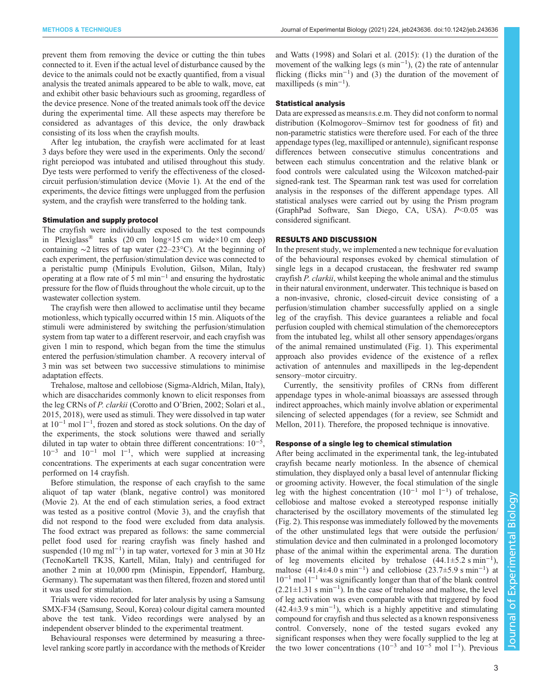prevent them from removing the device or cutting the thin tubes connected to it. Even if the actual level of disturbance caused by the device to the animals could not be exactly quantified, from a visual analysis the treated animals appeared to be able to walk, move, eat and exhibit other basic behaviours such as grooming, regardless of the device presence. None of the treated animals took off the device during the experimental time. All these aspects may therefore be considered as advantages of this device, the only drawback consisting of its loss when the crayfish moults.

After leg intubation, the crayfish were acclimated for at least 3 days before they were used in the experiments. Only the second/ right pereiopod was intubated and utilised throughout this study. Dye tests were performed to verify the effectiveness of the closedcircuit perfusion/stimulation device [\(Movie 1\)](http://movie.biologists.com/video/10.1242/jeb.243636/video-1). At the end of the experiments, the device fittings were unplugged from the perfusion system, and the crayfish were transferred to the holding tank.

#### Stimulation and supply protocol

The crayfish were individually exposed to the test compounds in Plexiglass<sup>®</sup> tanks (20 cm long×15 cm wide×10 cm deep) containing ∼2 litres of tap water (22–23°C). At the beginning of each experiment, the perfusion/stimulation device was connected to a peristaltic pump (Minipuls Evolution, Gilson, Milan, Italy) operating at a flow rate of 5 ml min−<sup>1</sup> and ensuring the hydrostatic pressure for the flow of fluids throughout the whole circuit, up to the wastewater collection system.

The crayfish were then allowed to acclimatise until they became motionless, which typically occurred within 15 min. Aliquots of the stimuli were administered by switching the perfusion/stimulation system from tap water to a different reservoir, and each crayfish was given 1 min to respond, which began from the time the stimulus entered the perfusion/stimulation chamber. A recovery interval of 3 min was set between two successive stimulations to minimise adaptation effects.

Trehalose, maltose and cellobiose (Sigma-Aldrich, Milan, Italy), which are disaccharides commonly known to elicit responses from the leg CRNs of P. clarkii [\(Corotto and O](#page-4-0)'Brien, 2002; [Solari et al.,](#page-5-0) [2015](#page-5-0), [2018\)](#page-5-0), were used as stimuli. They were dissolved in tap water at 10−<sup>1</sup> mol l−<sup>1</sup> , frozen and stored as stock solutions. On the day of the experiments, the stock solutions were thawed and serially diluted in tap water to obtain three different concentrations:  $10^{-5}$ ,  $10^{-3}$  and  $10^{-1}$  mol  $1^{-1}$ , which were supplied at increasing concentrations. The experiments at each sugar concentration were performed on 14 crayfish.

Before stimulation, the response of each crayfish to the same aliquot of tap water (blank, negative control) was monitored [\(Movie 2](http://movie.biologists.com/video/10.1242/jeb.243636/video-2)). At the end of each stimulation series, a food extract was tested as a positive control ([Movie 3\)](http://movie.biologists.com/video/10.1242/jeb.243636/video-3), and the crayfish that did not respond to the food were excluded from data analysis. The food extract was prepared as follows: the same commercial pellet food used for rearing crayfish was finely hashed and suspended (10 mg ml<sup>-1</sup>) in tap water, vortexed for 3 min at 30 Hz (TecnoKartell TK3S, Kartell, Milan, Italy) and centrifuged for another 2 min at 10,000 rpm (Minispin, Eppendorf, Hamburg, Germany). The supernatant was then filtered, frozen and stored until it was used for stimulation.

Trials were video recorded for later analysis by using a Samsung SMX-F34 (Samsung, Seoul, Korea) colour digital camera mounted above the test tank. Video recordings were analysed by an independent observer blinded to the experimental treatment.

Behavioural responses were determined by measuring a threelevel ranking score partly in accordance with the methods of [Kreider](#page-5-0) [and Watts \(1998\)](#page-5-0) and [Solari et al. \(2015\)](#page-5-0): (1) the duration of the movement of the walking legs (s min−<sup>1</sup> ), (2) the rate of antennular flicking (flicks min−<sup>1</sup> ) and (3) the duration of the movement of maxillipeds (s min<sup>-1</sup>).

#### Statistical analysis

Data are expressed as means±s.e.m. They did not conform to normal distribution (Kolmogorov–Smirnov test for goodness of fit) and non-parametric statistics were therefore used. For each of the three appendage types (leg, maxilliped or antennule), significant response differences between consecutive stimulus concentrations and between each stimulus concentration and the relative blank or food controls were calculated using the Wilcoxon matched-pair signed-rank test. The Spearman rank test was used for correlation analysis in the responses of the different appendage types. All statistical analyses were carried out by using the Prism program (GraphPad Software, San Diego, CA, USA).  $P<0.05$  was considered significant.

#### RESULTS AND DISCUSSION

In the present study, we implemented a new technique for evaluation of the behavioural responses evoked by chemical stimulation of single legs in a decapod crustacean, the freshwater red swamp crayfish P. clarkii, whilst keeping the whole animal and the stimulus in their natural environment, underwater. This technique is based on a non-invasive, chronic, closed-circuit device consisting of a perfusion/stimulation chamber successfully applied on a single leg of the crayfish. This device guarantees a reliable and focal perfusion coupled with chemical stimulation of the chemoreceptors from the intubated leg, whilst all other sensory appendages/organs of the animal remained unstimulated ([Fig. 1](#page-1-0)). This experimental approach also provides evidence of the existence of a reflex activation of antennules and maxillipeds in the leg-dependent sensory–motor circuitry.

Currently, the sensitivity profiles of CRNs from different appendage types in whole-animal bioassays are assessed through indirect approaches, which mainly involve ablation or experimental silencing of selected appendages (for a review, see [Schmidt and](#page-5-0) [Mellon, 2011](#page-5-0)). Therefore, the proposed technique is innovative.

#### Response of a single leg to chemical stimulation

After being acclimated in the experimental tank, the leg-intubated crayfish became nearly motionless. In the absence of chemical stimulation, they displayed only a basal level of antennular flicking or grooming activity. However, the focal stimulation of the single leg with the highest concentration  $(10^{-1} \text{ mol } 1^{-1})$  of trehalose, cellobiose and maltose evoked a stereotyped response initially characterised by the oscillatory movements of the stimulated leg [\(Fig. 2\)](#page-3-0). This response was immediately followed by the movements of the other unstimulated legs that were outside the perfusion/ stimulation device and then culminated in a prolonged locomotory phase of the animal within the experimental arena. The duration of leg movements elicited by trehalose  $(44.1 \pm 5.2 \text{ s min}^{-1})$ , maltose  $(41.4\pm4.0 \text{ s min}^{-1})$  and cellobiose  $(23.7\pm5.9 \text{ s min}^{-1})$  at 10−<sup>1</sup> mol l−<sup>1</sup> was significantly longer than that of the blank control (2.21±1.31 s min−<sup>1</sup> ). In the case of trehalose and maltose, the level of leg activation was even comparable with that triggered by food (42.4±3.9 s min−<sup>1</sup> ), which is a highly appetitive and stimulating compound for crayfish and thus selected as a known responsiveness control. Conversely, none of the tested sugars evoked any significant responses when they were focally supplied to the leg at the two lower concentrations  $(10^{-3}$  and  $10^{-5}$  mol  $1^{-1}$ ). Previous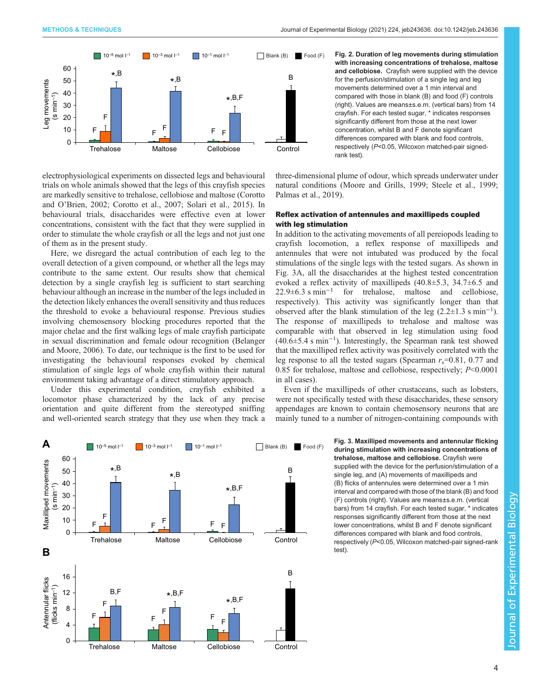<span id="page-3-0"></span>

electrophysiological experiments on dissected legs and behavioural trials on whole animals showed that the legs of this crayfish species are markedly sensitive to trehalose, cellobiose and maltose ([Corotto](#page-4-0) and O'[Brien, 2002; Corotto et al., 2007](#page-4-0); [Solari et al., 2015\)](#page-5-0). In behavioural trials, disaccharides were effective even at lower concentrations, consistent with the fact that they were supplied in order to stimulate the whole crayfish or all the legs and not just one of them as in the present study.

Here, we disregard the actual contribution of each leg to the overall detection of a given compound, or whether all the legs may contribute to the same extent. Our results show that chemical detection by a single crayfish leg is sufficient to start searching behaviour although an increase in the number of the legs included in the detection likely enhances the overall sensitivity and thus reduces the threshold to evoke a behavioural response. Previous studies involving chemosensory blocking procedures reported that the major chelae and the first walking legs of male crayfish participate in sexual discrimination and female odour recognition [\(Belanger](#page-4-0) [and Moore, 2006\)](#page-4-0). To date, our technique is the first to be used for investigating the behavioural responses evoked by chemical stimulation of single legs of whole crayfish within their natural environment taking advantage of a direct stimulatory approach.

Under this experimental condition, crayfish exhibited a locomotor phase characterized by the lack of any precise orientation and quite different from the stereotyped sniffing and well-oriented search strategy that they use when they track a



three-dimensional plume of odour, which spreads underwater under natural conditions [\(Moore and Grills, 1999](#page-5-0); [Steele et al., 1999](#page-5-0); [Palmas et al., 2019](#page-5-0)).

## Reflex activation of antennules and maxillipeds coupled with leg stimulation

In addition to the activating movements of all pereiopods leading to crayfish locomotion, a reflex response of maxillipeds and antennules that were not intubated was produced by the focal stimulations of the single legs with the tested sugars. As shown in Fig. 3A, all the disaccharides at the highest tested concentration evoked a reflex activity of maxillipeds (40.8±5.3, 34.7±6.5 and 22.9±6.3 s min−<sup>1</sup> for trehalose, maltose and cellobiose, respectively). This activity was significantly longer than that observed after the blank stimulation of the leg  $(2.2 \pm 1.3 \text{ s min}^{-1})$ . The response of maxillipeds to trehalose and maltose was comparable with that observed in leg stimulation using food (40.6±5.4 s min−<sup>1</sup> ). Interestingly, the Spearman rank test showed that the maxilliped reflex activity was positively correlated with the leg response to all the tested sugars (Spearman  $r_s$ =0.81, 0.77 and 0.85 for trehalose, maltose and cellobiose, respectively; P<0.0001 in all cases).

Even if the maxillipeds of other crustaceans, such as lobsters, were not specifically tested with these disaccharides, these sensory appendages are known to contain chemosensory neurons that are mainly tuned to a number of nitrogen-containing compounds with



Fig. 3. Maxilliped movements and antennular flicking during stimulation with increasing concentrations of trehalose, maltose and cellobiose. Crayfish were supplied with the device for the perfusion/stimulation of a single leg, and (A) movements of maxillipeds and (B) flicks of antennules were determined over a 1 min interval and compared with those of the blank (B) and food (F) controls (right). Values are means±s.e.m. (vertical bars) from 14 crayfish. For each tested sugar, \* indicates responses significantly different from those at the next lower concentrations, whilst B and F denote significant differences compared with blank and food controls, respectively (P<0.05, Wilcoxon matched-pair signed-rank test).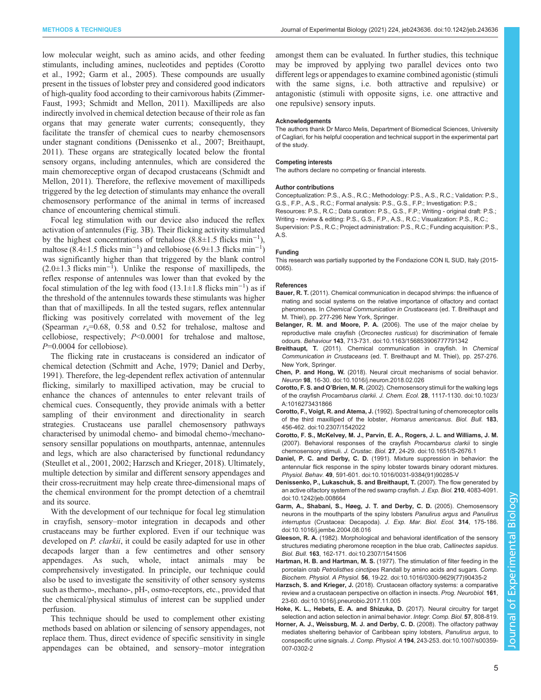<span id="page-4-0"></span>low molecular weight, such as amino acids, and other feeding stimulants, including amines, nucleotides and peptides (Corotto et al., 1992; Garm et al., 2005). These compounds are usually present in the tissues of lobster prey and considered good indicators of high-quality food according to their carnivorous habits ([Zimmer-](#page-5-0)[Faust, 1993](#page-5-0); [Schmidt and Mellon, 2011](#page-5-0)). Maxillipeds are also indirectly involved in chemical detection because of their role as fan organs that may generate water currents; consequently, they facilitate the transfer of chemical cues to nearby chemosensors under stagnant conditions (Denissenko et al., 2007; Breithaupt, 2011). These organs are strategically located below the frontal sensory organs, including antennules, which are considered the main chemoreceptive organ of decapod crustaceans ([Schmidt and](#page-5-0) [Mellon, 2011](#page-5-0)). Therefore, the reflexive movement of maxillipeds triggered by the leg detection of stimulants may enhance the overall chemosensory performance of the animal in terms of increased chance of encountering chemical stimuli.

Focal leg stimulation with our device also induced the reflex activation of antennules [\(Fig. 3B](#page-3-0)). Their flicking activity stimulated by the highest concentrations of trehalose  $(8.8 \pm 1.5 \text{ flicks min}^{-1})$ , maltose (8.4±1.5 flicks min<sup>-1</sup>) and cellobiose (6.9±1.3 flicks min<sup>-1</sup>) was significantly higher than that triggered by the blank control  $(2.0 \pm 1.3 \text{ flicks min}^{-1})$ . Unlike the response of maxillipeds, the reflex response of antennules was lower than that evoked by the focal stimulation of the leg with food  $(13.1 \pm 1.8 \text{ flicks min}^{-1})$  as if the threshold of the antennules towards these stimulants was higher than that of maxillipeds. In all the tested sugars, reflex antennular flicking was positively correlated with movement of the leg (Spearman  $r_s$ =0.68, 0.58 and 0.52 for trehalose, maltose and cellobiose, respectively; P<0.0001 for trehalose and maltose,  $P=0.0004$  for cellobiose).

The flicking rate in crustaceans is considered an indicator of chemical detection ([Schmitt and Ache, 1979;](#page-5-0) Daniel and Derby, 1991). Therefore, the leg-dependent reflex activation of antennular flicking, similarly to maxilliped activation, may be crucial to enhance the chances of antennules to enter relevant trails of chemical cues. Consequently, they provide animals with a better sampling of their environment and directionality in search strategies. Crustaceans use parallel chemosensory pathways characterised by unimodal chemo- and bimodal chemo-/mechanosensory sensillar populations on mouthparts, antennae, antennules and legs, which are also characterised by functional redundancy [\(Steullet et al., 2001, 2002;](#page-5-0) Harzsch and Krieger, 2018). Ultimately, multiple detection by similar and different sensory appendages and their cross-recruitment may help create three-dimensional maps of the chemical environment for the prompt detection of a chemtrail and its source.

With the development of our technique for focal leg stimulation in crayfish, sensory–motor integration in decapods and other crustaceans may be further explored. Even if our technique was developed on *P. clarkii*, it could be easily adapted for use in other decapods larger than a few centimetres and other sensory appendages. As such, whole, intact animals may be comprehensively investigated. In principle, our technique could also be used to investigate the sensitivity of other sensory systems such as thermo-, mechano-, pH-, osmo-receptors, etc., provided that the chemical/physical stimulus of interest can be supplied under perfusion.

This technique should be used to complement other existing methods based on ablation or silencing of sensory appendages, not replace them. Thus, direct evidence of specific sensitivity in single appendages can be obtained, and sensory–motor integration

amongst them can be evaluated. In further studies, this technique may be improved by applying two parallel devices onto two different legs or appendages to examine combined agonistic (stimuli with the same signs, i.e. both attractive and repulsive) or antagonistic (stimuli with opposite signs, i.e. one attractive and one repulsive) sensory inputs.

#### Acknowledgements

The authors thank Dr Marco Melis, Department of Biomedical Sciences, University of Cagliari, for his helpful cooperation and technical support in the experimental part of the study.

#### Competing interests

The authors declare no competing or financial interests.

#### Author contributions

Conceptualization: P.S., A.S., R.C.; Methodology: P.S., A.S., R.C.; Validation: P.S., G.S., F.P., A.S., R.C.; Formal analysis: P.S., G.S., F.P.; Investigation: P.S.; Resources: P.S., R.C.; Data curation: P.S., G.S., F.P.; Writing - original draft: P.S.; Writing - review & editing: P.S., G.S., F.P., A.S., R.C.; Visualization: P.S., R.C.; Supervision: P.S., R.C.; Project administration: P.S., R.C.; Funding acquisition: P.S., A.S.

#### Funding

This research was partially supported by the Fondazione CON IL SUD, Italy (2015- 0065).

#### References

- Bauer, R. T. (2011). Chemical communication in decapod shrimps: the influence of mating and social systems on the relative importance of olfactory and contact pheromones. In Chemical Communication in Crustaceans (ed. T. Breithaupt and M. Thiel), pp. 277-296 New York, Springer.
- Belanger, R. M. and Moore, P. A. [\(2006\). The use of the major chelae by](https://doi.org/10.1163/156853906777791342) reproductive male crayfish (Orconectes rusticus[\) for discrimination of female](https://doi.org/10.1163/156853906777791342) odours. Behaviour 143[, 713-731. doi:10.1163/156853906777791342](https://doi.org/10.1163/156853906777791342)
- Breithaupt, T. (2011). Chemical communication in crayfish. In Chemical Communication in Crustaceans (ed. T. Breithaupt and M. Thiel), pp. 257-276. New York, Springer.
- Chen, P. and Hong, W. [\(2018\). Neural circuit mechanisms of social behavior.](https://doi.org/10.1016/j.neuron.2018.02.026) Neuron 98[, 16-30. doi:10.1016/j.neuron.2018.02.026](https://doi.org/10.1016/j.neuron.2018.02.026)
- Corotto, F. S. and O'Brien, M. R. [\(2002\). Chemosensory stimuli for the walking legs](https://doi.org/10.1023/A:1016273431866) of the crayfish Procambarus clarkii. J. Chem. Ecol. 28[, 1117-1130. doi:10.1023/](https://doi.org/10.1023/A:1016273431866) [A:1016273431866](https://doi.org/10.1023/A:1016273431866)
- Corotto, F., Voigt, R. and Atema, J. [\(1992\). Spectral tuning of chemoreceptor cells](https://doi.org/10.2307/1542022) [of the third maxilliped of the lobster,](https://doi.org/10.2307/1542022) Homarus americanus. Biol. Bull. 183, [456-462. doi:10.2307/1542022](https://doi.org/10.2307/1542022)
- [Corotto, F. S., McKelvey, M. J., Parvin, E. A., Rogers, J. L. and Williams, J. M.](https://doi.org/10.1651/S-2676.1) [\(2007\). Behavioral responses of the crayfish](https://doi.org/10.1651/S-2676.1) Procambarus clarkii to single chemosensory stimuli. J. Crustac. Biol. 27[, 24-29. doi:10.1651/S-2676.1](https://doi.org/10.1651/S-2676.1)
- Daniel, P. C. and Derby, C. D. [\(1991\). Mixture suppression in behavior: the](https://doi.org/10.1016/0031-9384(91)90285-V) [antennular flick response in the spiny lobster towards binary odorant mixtures.](https://doi.org/10.1016/0031-9384(91)90285-V) Physiol. Behav. 49[, 591-601. doi:10.1016/0031-9384\(91\)90285-V](https://doi.org/10.1016/0031-9384(91)90285-V)
- [Denissenko, P., Lukaschuk, S. and Breithaupt, T.](https://doi.org/10.1242/jeb.008664) (2007). The flow generated by [an active olfactory system of the red swamp crayfish.](https://doi.org/10.1242/jeb.008664) J. Exp. Biol. 210, 4083-4091. [doi:10.1242/jeb.008664](https://doi.org/10.1242/jeb.008664)
- [Garm, A., Shabani, S., Høeg, J. T. and Derby, C. D.](https://doi.org/10.1016/j.jembe.2004.08.016) (2005). Chemosensory [neurons in the mouthparts of the spiny lobsters](https://doi.org/10.1016/j.jembe.2004.08.016) Panulirus argus and Panulirus interruptus (Crustacea: Decapoda). [J. Exp. Mar. Biol. Ecol.](https://doi.org/10.1016/j.jembe.2004.08.016) 314, 175-186. [doi:10.1016/j.jembe.2004.08.016](https://doi.org/10.1016/j.jembe.2004.08.016)
- Gleeson, R. A. [\(1982\). Morphological and behavioral identification of the sensory](https://doi.org/10.2307/1541506) [structures mediating pheromone reception in the blue crab,](https://doi.org/10.2307/1541506) Callinectes sapidus. Biol. Bull. 163[, 162-171. doi:10.2307/1541506](https://doi.org/10.2307/1541506)
- Hartman, H. B. and Hartman, M. S. [\(1977\). The stimulation of filter feeding in the](https://doi.org/10.1016/0300-9629(77)90435-2) porcelain crab Petrolisthes cinctipes [Randall by amino acids and sugars.](https://doi.org/10.1016/0300-9629(77)90435-2) Comp. Biochem. Physiol. A Physiol. 56[, 19-22. doi:10.1016/0300-9629\(77\)90435-2](https://doi.org/10.1016/0300-9629(77)90435-2)
- Harzsch, S. and Krieger, J. [\(2018\). Crustacean olfactory systems: a comparative](https://doi.org/10.1016/j.pneurobio.2017.11.005) [review and a crustacean perspective on olfaction in insects.](https://doi.org/10.1016/j.pneurobio.2017.11.005) Prog. Neurobiol. 161, [23-60. doi:10.1016/j.pneurobio.2017.11.005](https://doi.org/10.1016/j.pneurobio.2017.11.005)
- Hoke, K. L., Hebets, E. A. and Shizuka, D. (2017). Neural circuitry for target selection and action selection in animal behavior. Integr. Comp. Biol. 57, 808-819.
- [Horner, A. J., Weissburg, M. J. and Derby, C. D.](https://doi.org/10.1007/s00359-007-0302-2) (2008). The olfactory pathway [mediates sheltering behavior of Caribbean spiny lobsters,](https://doi.org/10.1007/s00359-007-0302-2) Panulirus argus, to conspecific urine signals. J. Comp. Physiol. A 194[, 243-253. doi:10.1007/s00359-](https://doi.org/10.1007/s00359-007-0302-2) [007-0302-2](https://doi.org/10.1007/s00359-007-0302-2)